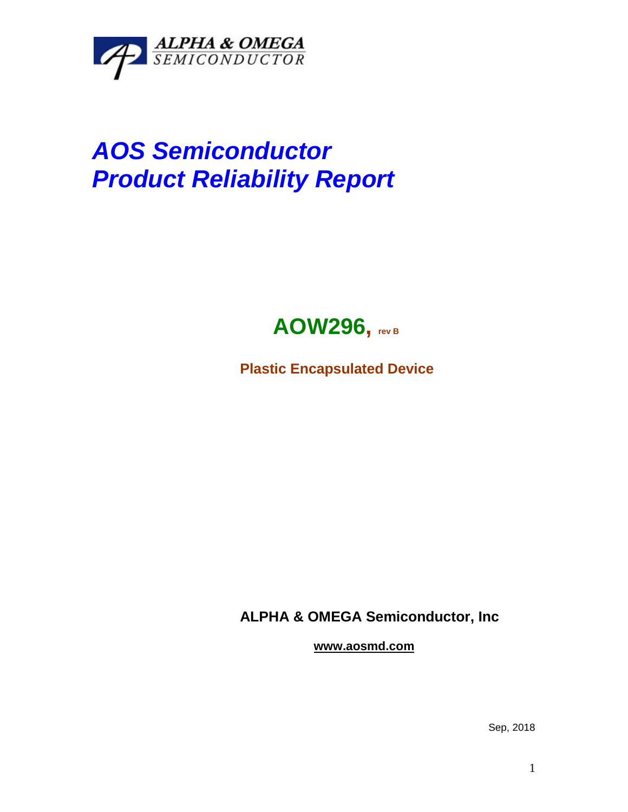

## *AOS Semiconductor Product Reliability Report*



**Plastic Encapsulated Device**

**ALPHA & OMEGA Semiconductor, Inc**

**www.aosmd.com**

Sep, 2018